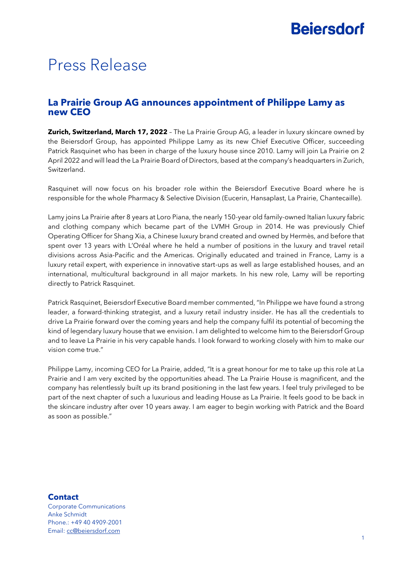# **Beiersdorf**

# Press Release

## **La Prairie Group AG announces appointment of Philippe Lamy as new CEO**

**Zurich, Switzerland, March 17, 2022** – The La Prairie Group AG, a leader in luxury skincare owned by the Beiersdorf Group, has appointed Philippe Lamy as its new Chief Executive Officer, succeeding Patrick Rasquinet who has been in charge of the luxury house since 2010. Lamy will join La Prairie on 2 April 2022 and will lead the La Prairie Board of Directors, based at the company's headquarters in Zurich, Switzerland.

Rasquinet will now focus on his broader role within the Beiersdorf Executive Board where he is responsible for the whole Pharmacy & Selective Division (Eucerin, Hansaplast, La Prairie, Chantecaille).

Lamy joins La Prairie after 8 years at Loro Piana, the nearly 150-year old family-owned Italian luxury fabric and clothing company which became part of the LVMH Group in 2014. He was previously Chief Operating Officer for Shang Xia, a Chinese luxury brand created and owned by Hermès, and before that spent over 13 years with L'Oréal where he held a number of positions in the luxury and travel retail divisions across Asia-Pacific and the Americas. Originally educated and trained in France, Lamy is a luxury retail expert, with experience in innovative start-ups as well as large established houses, and an international, multicultural background in all major markets. In his new role, Lamy will be reporting directly to Patrick Rasquinet.

Patrick Rasquinet, Beiersdorf Executive Board member commented, "In Philippe we have found a strong leader, a forward-thinking strategist, and a luxury retail industry insider. He has all the credentials to drive La Prairie forward over the coming years and help the company fulfil its potential of becoming the kind of legendary luxury house that we envision. I am delighted to welcome him to the Beiersdorf Group and to leave La Prairie in his very capable hands. I look forward to working closely with him to make our vision come true."

Philippe Lamy, incoming CEO for La Prairie, added, "It is a great honour for me to take up this role at La Prairie and I am very excited by the opportunities ahead. The La Prairie House is magnificent, and the company has relentlessly built up its brand positioning in the last few years. I feel truly privileged to be part of the next chapter of such a luxurious and leading House as La Prairie. It feels good to be back in the skincare industry after over 10 years away. I am eager to begin working with Patrick and the Board as soon as possible."

### **Contact**

Corporate Communications Anke Schmidt Phone.: +49 40 4909-2001 Email: [cc@beiersdorf.com](mailto:cc@beiersdorf.com)